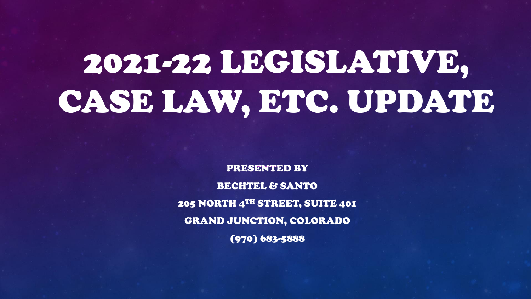# 2021-22 LEGISLATIVE, CASE LAW, ETC. UPDATE

PRESENTED BY BECHTEL & SANTO 205 NORTH 4TH STREET, SUITE 401 GRAND JUNCTION, COLORADO (970) 683-5888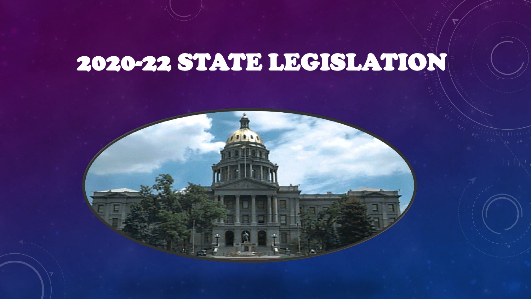# 2020-22 STATE LEGISLATION

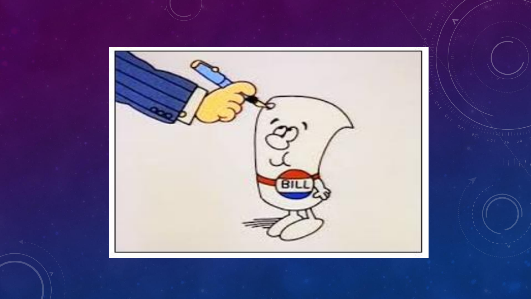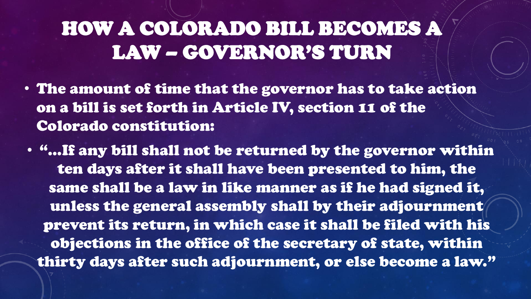# HOW A COLORADO BILL BECOMES A LAW – GOVERNOR'S TURN

- The amount of time that the governor has to take action on a bill is set forth in Article IV, section 11 of the Colorado constitution:
- "…If any bill shall not be returned by the governor within ten days after it shall have been presented to him, the same shall be a law in like manner as if he had signed it, unless the general assembly shall by their adjournment prevent its return, in which case it shall be filed with his objections in the office of the secretary of state, within thirty days after such adjournment, or else become a law."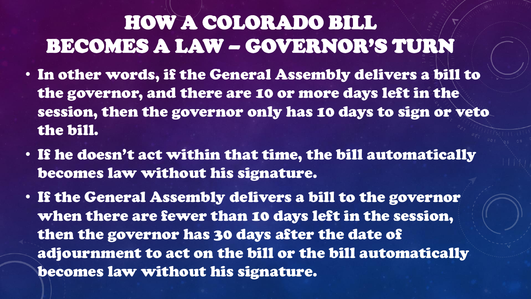# HOW A COLORADO BILL BECOMES A LAW – GOVERNOR'S TURN

- In other words, if the General Assembly delivers a bill to the governor, and there are 10 or more days left in the session, then the governor only has 10 days to sign or veto the bill.
- If he doesn't act within that time, the bill automatically becomes law without his signature.
- If the General Assembly delivers a bill to the governor when there are fewer than 10 days left in the session, then the governor has 30 days after the date of adjournment to act on the bill or the bill automatically becomes law without his signature.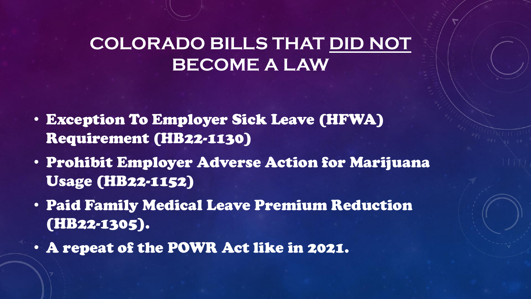#### **COLORADO BILLS THAT DID NOT BECOME A LAW**

- Exception To Employer Sick Leave (HFWA) Requirement (HB22-1130)
- Prohibit Employer Adverse Action for Marijuana Usage (HB22-1152)
- Paid Family Medical Leave Premium Reduction (HB22-1305).
- A repeat of the POWR Act like in 2021.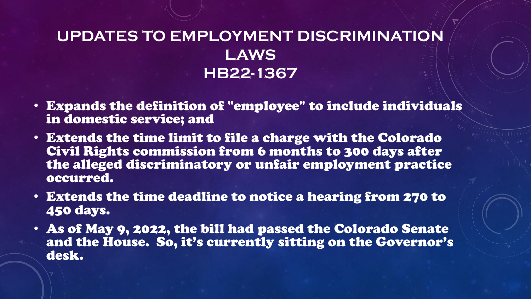#### **UPDATES TO EMPLOYMENT DISCRIMINATION LAWS HB22-1367**

- Expands the definition of "employee" to include individuals in domestic service; and
- Extends the time limit to file a charge with the Colorado Civil Rights commission from 6 months to 300 days after the alleged discriminatory or unfair employment practice occurred.
- Extends the time deadline to notice a hearing from 270 to 450 days.
- As of May 9, 2022, the bill had passed the Colorado Senate and the House. So, it's currently sitting on the Governor's desk.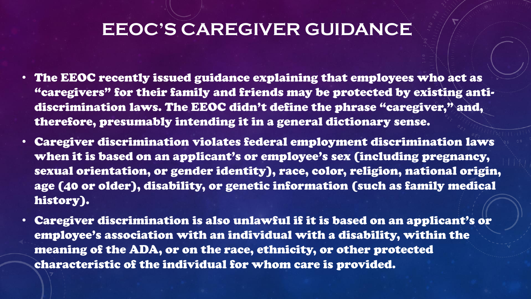#### **EEOC'S CAREGIVER GUIDANCE**

- The EEOC recently issued guidance explaining that employees who act as "caregivers" for their family and friends may be protected by existing antidiscrimination laws. The EEOC didn't define the phrase "caregiver," and, therefore, presumably intending it in a general dictionary sense.
- Caregiver discrimination violates federal employment discrimination laws when it is based on an applicant's or employee's sex (including pregnancy, sexual orientation, or gender identity), race, color, religion, national origin, age (40 or older), disability, or genetic information (such as family medical history).
- Caregiver discrimination is also unlawful if it is based on an applicant's or employee's association with an individual with a disability, within the meaning of the ADA, or on the race, ethnicity, or other protected characteristic of the individual for whom care is provided.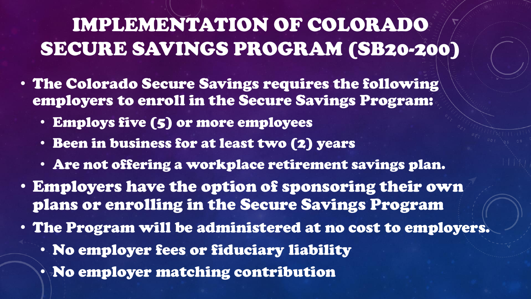# IMPLEMENTATION OF COLORADO SECURE SAVINGS PROGRAM (SB20-200)

- The Colorado Secure Savings requires the following employers to enroll in the Secure Savings Program:
	- Employs five (5) or more employees
	- Been in business for at least two (2) years
	- Are not offering a workplace retirement savings plan.
- Employers have the option of sponsoring their own plans or enrolling in the Secure Savings Program
- The Program will be administered at no cost to employers.
	- No employer fees or fiduciary liability
	- No employer matching contribution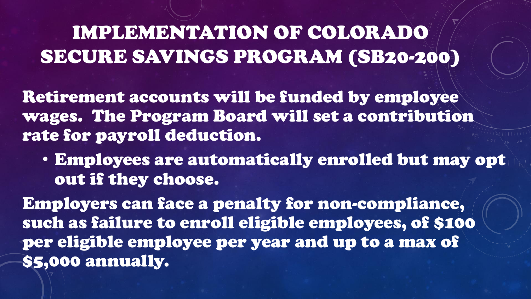# IMPLEMENTATION OF COLORADO SECURE SAVINGS PROGRAM (SB20-200)

Retirement accounts will be funded by employee wages. The Program Board will set a contribution rate for payroll deduction.

• Employees are automatically enrolled but may opt out if they choose.

Employers can face a penalty for non-compliance, such as failure to enroll eligible employees, of \$100 per eligible employee per year and up to a max of \$5,000 annually.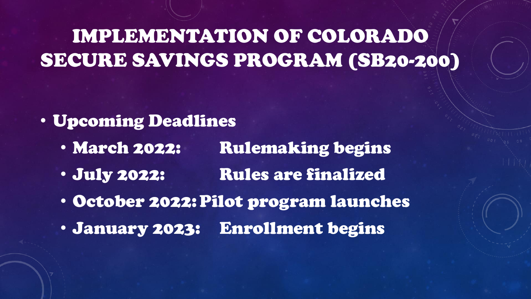# IMPLEMENTATION OF COLORADO SECURE SAVINGS PROGRAM (SB20-200)

#### • Upcoming Deadlines

- March 2022: Rulemaking begins
- July 2022: Rules are finalized
- October 2022:Pilot program launches
- January 2023: Enrollment begins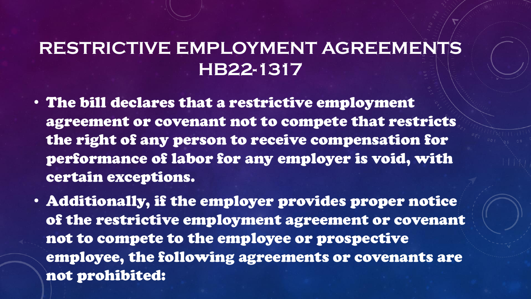- The bill declares that a restrictive employment agreement or covenant not to compete that restricts the right of any person to receive compensation for performance of labor for any employer is void, with certain exceptions.
- Additionally, if the employer provides proper notice of the restrictive employment agreement or covenant not to compete to the employee or prospective employee, the following agreements or covenants are not prohibited: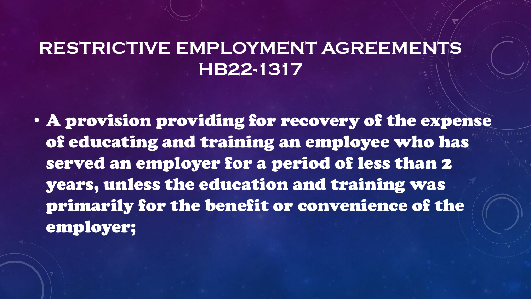• A provision providing for recovery of the expense of educating and training an employee who has served an employer for a period of less than 2 years, unless the education and training was primarily for the benefit or convenience of the employer;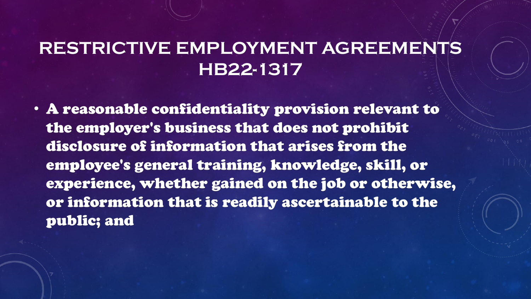• A reasonable confidentiality provision relevant to the employer's business that does not prohibit disclosure of information that arises from the employee's general training, knowledge, skill, or experience, whether gained on the job or otherwise, or information that is readily ascertainable to the public; and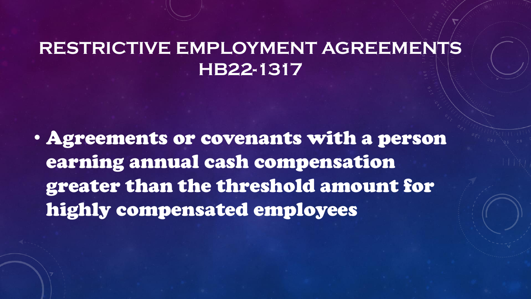• Agreements or covenants with a person earning annual cash compensation greater than the threshold amount for highly compensated employees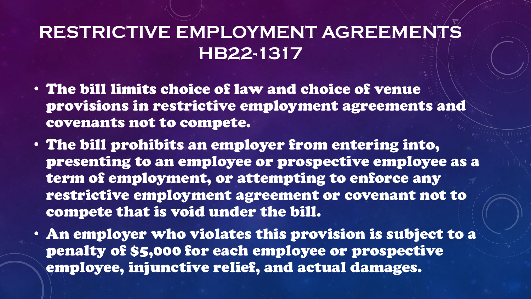- The bill limits choice of law and choice of venue provisions in restrictive employment agreements and covenants not to compete.
- The bill prohibits an employer from entering into, presenting to an employee or prospective employee as a term of employment, or attempting to enforce any restrictive employment agreement or covenant not to compete that is void under the bill.
- An employer who violates this provision is subject to a penalty of \$5,000 for each employee or prospective employee, injunctive relief, and actual damages.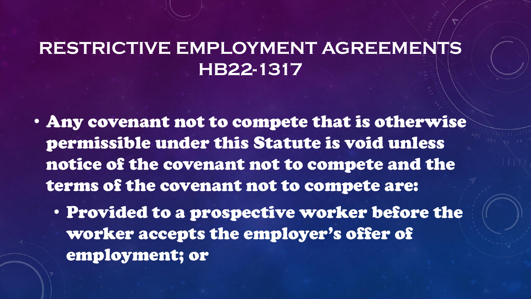- Any covenant not to compete that is otherwise permissible under this Statute is void unless notice of the covenant not to compete and the terms of the covenant not to compete are:
	- Provided to a prospective worker before the worker accepts the employer's offer of employment; or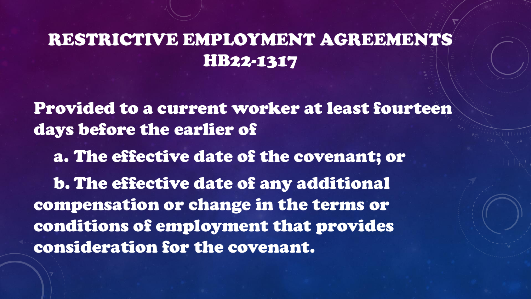Provided to a current worker at least fourteen days before the earlier of a. The effective date of the covenant; or b. The effective date of any additional compensation or change in the terms or conditions of employment that provides consideration for the covenant.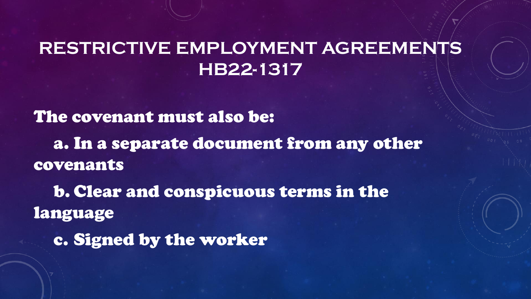The covenant must also be:

a. In a separate document from any other covenants

b. Clear and conspicuous terms in the language

c. Signed by the worker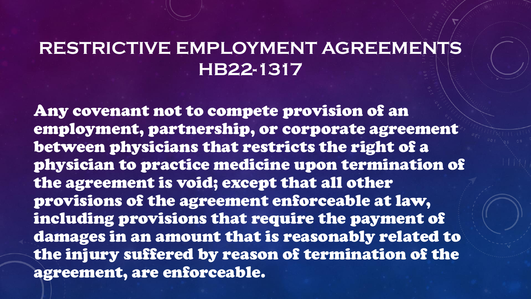Any covenant not to compete provision of an employment, partnership, or corporate agreement between physicians that restricts the right of a physician to practice medicine upon termination of the agreement is void; except that all other provisions of the agreement enforceable at law, including provisions that require the payment of damages in an amount that is reasonably related to the injury suffered by reason of termination of the agreement, are enforceable.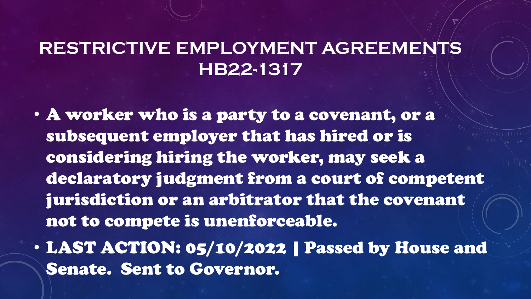- A worker who is a party to a covenant, or a subsequent employer that has hired or is considering hiring the worker, may seek a declaratory judgment from a court of competent jurisdiction or an arbitrator that the covenant not to compete is unenforceable.
- LAST ACTION: 05/10/2022 | Passed by House and Senate. Sent to Governor.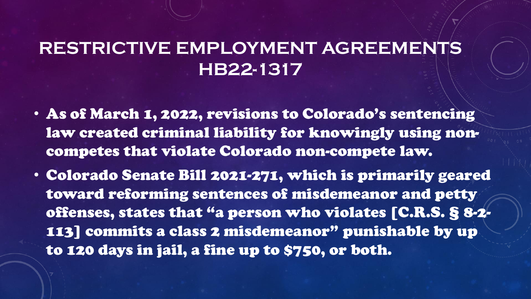- As of March 1, 2022, revisions to Colorado's sentencing law created criminal liability for knowingly using noncompetes that violate Colorado non-compete law.
- Colorado Senate Bill 2021-271, which is primarily geared toward reforming sentences of misdemeanor and petty offenses, states that "a person who violates [C.R.S. § 8-2- 113] commits a class 2 misdemeanor" punishable by up to 120 days in jail, a fine up to \$750, or both.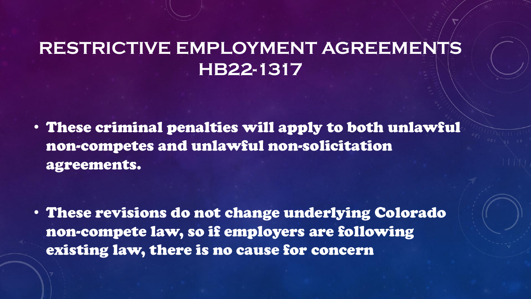• These criminal penalties will apply to both unlawful non-competes and unlawful non-solicitation agreements.

• These revisions do not change underlying Colorado non-compete law, so if employers are following existing law, there is no cause for concern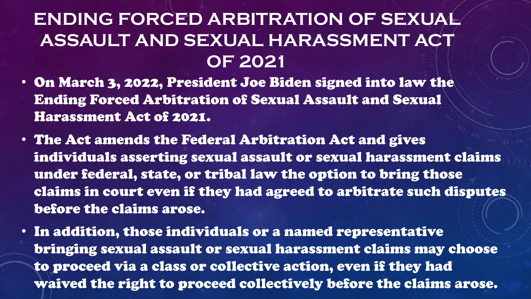### **ENDING FORCED ARBITRATION OF SEXUAL ASSAULT AND SEXUAL HARASSMENT ACT OF 2021**

- On March 3, 2022, President Joe Biden signed into law the Ending Forced Arbitration of Sexual Assault and Sexual Harassment Act of 2021.
- The Act amends the Federal Arbitration Act and gives individuals asserting sexual assault or sexual harassment claims under federal, state, or tribal law the option to bring those claims in court even if they had agreed to arbitrate such disputes before the claims arose.
- In addition, those individuals or a named representative bringing sexual assault or sexual harassment claims may choose to proceed via a class or collective action, even if they had waived the right to proceed collectively before the claims arose.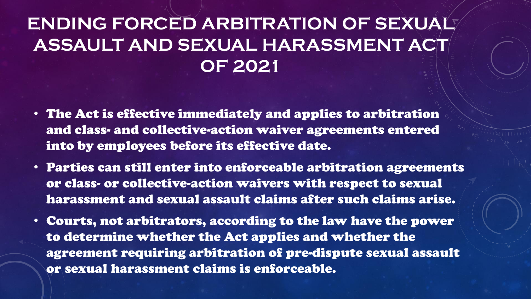#### **ENDING FORCED ARBITRATION OF SEXUAL ASSAULT AND SEXUAL HARASSMENT ACT OF 2021**

- The Act is effective immediately and applies to arbitration and class- and collective-action waiver agreements entered into by employees before its effective date.
- Parties can still enter into enforceable arbitration agreements or class- or collective-action waivers with respect to sexual harassment and sexual assault claims after such claims arise.
- Courts, not arbitrators, according to the law have the power to determine whether the Act applies and whether the agreement requiring arbitration of pre-dispute sexual assault or sexual harassment claims is enforceable.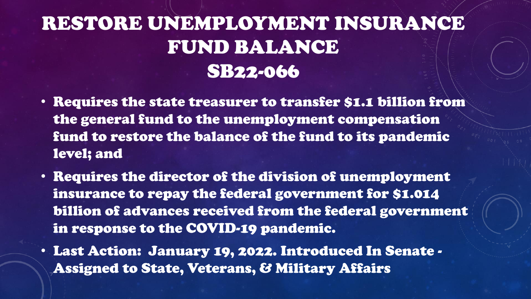# RESTORE UNEMPLOYMENT INSURANCE FUND BALANCE SB22-066

- Requires the state treasurer to transfer \$1.1 billion from the general fund to the unemployment compensation fund to restore the balance of the fund to its pandemic level; and
- Requires the director of the division of unemployment insurance to repay the federal government for \$1.014 billion of advances received from the federal government in response to the COVID-19 pandemic.
- Last Action: January 19, 2022. Introduced In Senate Assigned to State, Veterans, & Military Affairs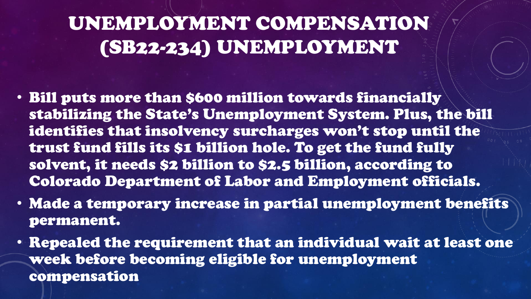# UNEMPLOYMENT COMPENSATION (SB22-234) UNEMPLOYMENT

- Bill puts more than \$600 million towards financially stabilizing the State's Unemployment System. Plus, the bill identifies that insolvency surcharges won't stop until the trust fund fills its \$1 billion hole. To get the fund fully solvent, it needs \$2 billion to \$2.5 billion, according to Colorado Department of Labor and Employment officials.
- Made a temporary increase in partial unemployment benefits permanent.
- Repealed the requirement that an individual wait at least one week before becoming eligible for unemployment compensation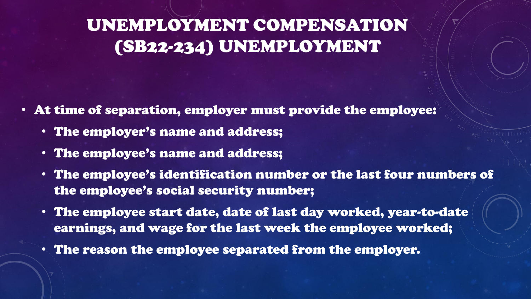#### UNEMPLOYMENT COMPENSATION (SB22-234) UNEMPLOYMENT

- At time of separation, employer must provide the employee:
	- The employer's name and address;
	- The employee's name and address;
	- The employee's identification number or the last four numbers of the employee's social security number;
	- The employee start date, date of last day worked, year-to-date earnings, and wage for the last week the employee worked;
	- The reason the employee separated from the employer.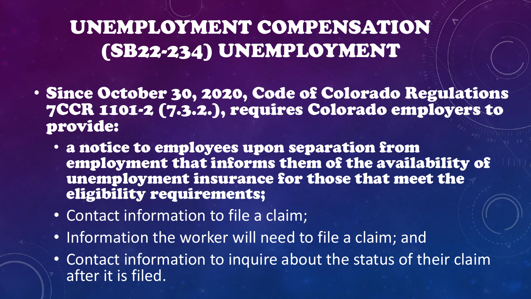# UNEMPLOYMENT COMPENSATION (SB22-234) UNEMPLOYMENT

- Since October 30, 2020, Code of Colorado Regulations 7CCR 1101-2 (7.3.2.), requires Colorado employers to provide:
	- a notice to employees upon separation from employment that informs them of the availability of unemployment insurance for those that meet the eligibility requirements;
	- Contact information to file a claim;
	- Information the worker will need to file a claim; and
	- Contact information to inquire about the status of their claim after it is filed.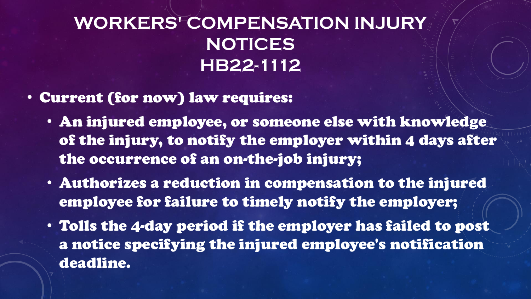- Current (for now) law requires:
	- An injured employee, or someone else with knowledge of the injury, to notify the employer within 4 days after the occurrence of an on-the-job injury;
	- Authorizes a reduction in compensation to the injured employee for failure to timely notify the employer;
	- Tolls the 4-day period if the employer has failed to post a notice specifying the injured employee's notification deadline.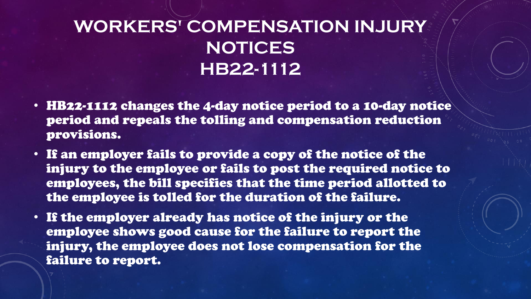- HB22-1112 changes the 4-day notice period to a 10-day notice period and repeals the tolling and compensation reduction provisions.
- If an employer fails to provide a copy of the notice of the injury to the employee or fails to post the required notice to employees, the bill specifies that the time period allotted to the employee is tolled for the duration of the failure.
- If the employer already has notice of the injury or the employee shows good cause for the failure to report the injury, the employee does not lose compensation for the failure to report.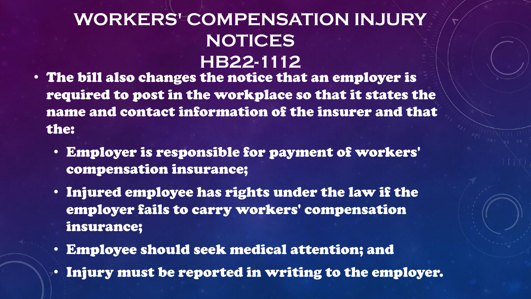- The bill also changes the notice that an employer is required to post in the workplace so that it states the name and contact information of the insurer and that the:
	- Employer is responsible for payment of workers' compensation insurance;
	- Injured employee has rights under the law if the employer fails to carry workers' compensation insurance;
	- Employee should seek medical attention; and
	- Injury must be reported in writing to the employer.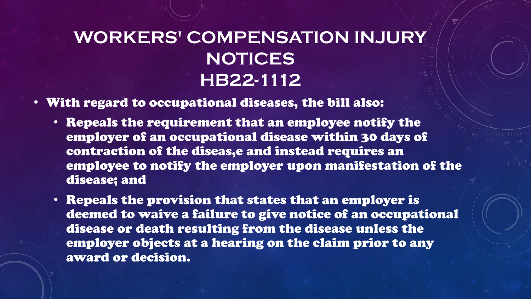• With regard to occupational diseases, the bill also:

- Repeals the requirement that an employee notify the employer of an occupational disease within 30 days of contraction of the diseas,e and instead requires an employee to notify the employer upon manifestation of the disease; and
- Repeals the provision that states that an employer is deemed to waive a failure to give notice of an occupational disease or death resulting from the disease unless the employer objects at a hearing on the claim prior to any award or decision.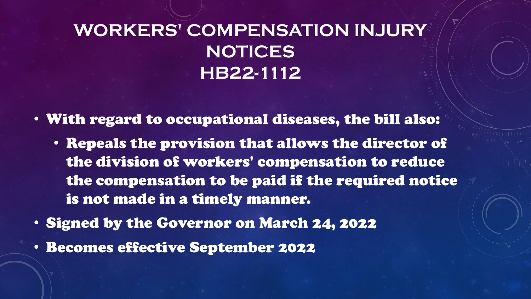• With regard to occupational diseases, the bill also:

- Repeals the provision that allows the director of the division of workers' compensation to reduce the compensation to be paid if the required notice is not made in a timely manner.
- Signed by the Governor on March 24, 2022
- Becomes effective September 2022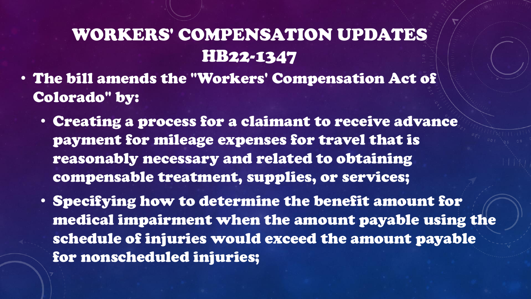### WORKERS' COMPENSATION UPDATES HB22-1347

- The bill amends the "Workers' Compensation Act of Colorado" by:
	- Creating a process for a claimant to receive advance payment for mileage expenses for travel that is reasonably necessary and related to obtaining compensable treatment, supplies, or services;

• Specifying how to determine the benefit amount for medical impairment when the amount payable using the schedule of injuries would exceed the amount payable for nonscheduled injuries;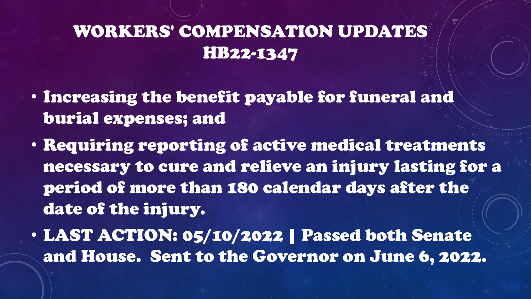#### WORKERS' COMPENSATION UPDATES HB22-1347

- Increasing the benefit payable for funeral and burial expenses; and
- Requiring reporting of active medical treatments necessary to cure and relieve an injury lasting for a period of more than 180 calendar days after the date of the injury.
- LAST ACTION: 05/10/2022 | Passed both Senate and House. Sent to the Governor on June 6, 2022.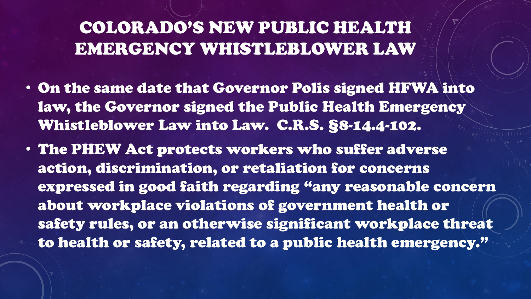- On the same date that Governor Polis signed HFWA into law, the Governor signed the Public Health Emergency Whistleblower Law into Law. C.R.S. §8-14.4-102.
- The PHEW Act protects workers who suffer adverse action, discrimination, or retaliation for concerns expressed in good faith regarding "any reasonable concern about workplace violations of government health or safety rules, or an otherwise significant workplace threat to health or safety, related to a public health emergency."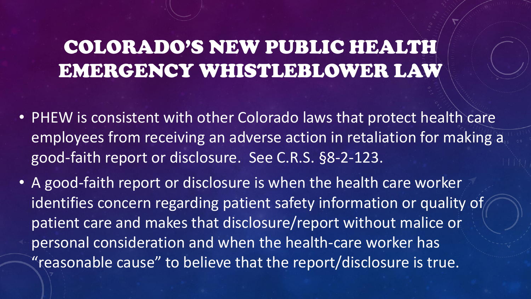- PHEW is consistent with other Colorado laws that protect health care employees from receiving an adverse action in retaliation for making a good-faith report or disclosure. See C.R.S. §8-2-123.
- A good-faith report or disclosure is when the health care worker identifies concern regarding patient safety information or quality of patient care and makes that disclosure/report without malice or personal consideration and when the health-care worker has "reasonable cause" to believe that the report/disclosure is true.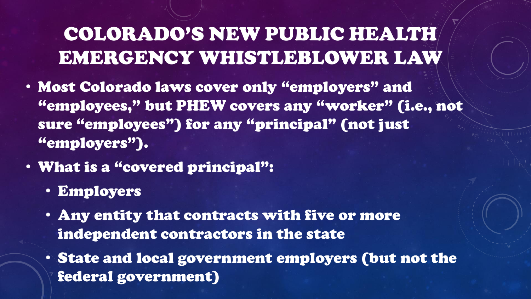- Most Colorado laws cover only "employers" and "employees," but PHEW covers any "worker" (i.e., not sure "employees") for any "principal" (not just "employers").
- What is a "covered principal":
	- Employers
	- Any entity that contracts with five or more independent contractors in the state
	- State and local government employers (but not the federal government)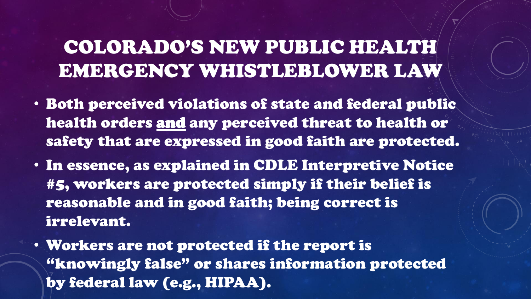- Both perceived violations of state and federal public health orders and any perceived threat to health or safety that are expressed in good faith are protected.
- In essence, as explained in CDLE Interpretive Notice #5, workers are protected simply if their belief is reasonable and in good faith; being correct is irrelevant.
- Workers are not protected if the report is "knowingly false" or shares information protected by federal law (e.g., HIPAA).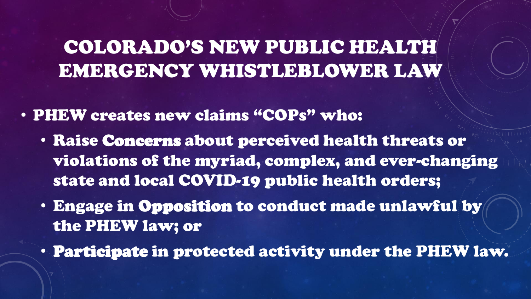• PHEW creates new claims "COPs" who:

- Raise Concerns about perceived health threats or violations of the myriad, complex, and ever-changing state and local COVID-19 public health orders;
- Engage in Opposition to conduct made unlawful by the PHEW law; or
- Participate in protected activity under the PHEW law.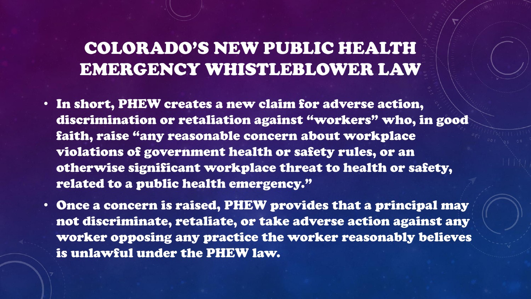- In short, PHEW creates a new claim for adverse action, discrimination or retaliation against "workers" who, in good faith, raise "any reasonable concern about workplace violations of government health or safety rules, or an otherwise significant workplace threat to health or safety, related to a public health emergency."
- Once a concern is raised, PHEW provides that a principal may not discriminate, retaliate, or take adverse action against any worker opposing any practice the worker reasonably believes is unlawful under the PHEW law.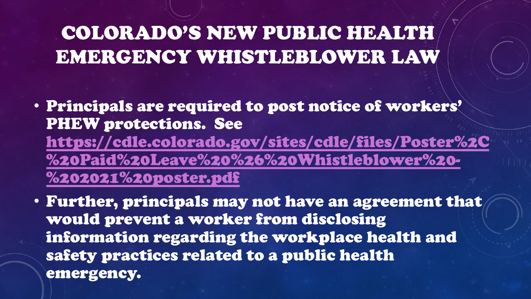• Principals are required to post notice of workers' PHEW protections. See https://cdle.colorado.gov/sites/cdle/files/Poster%2C [%20Paid%20Leave%20%26%20Whistleblower%20-](https://cdle.colorado.gov/sites/cdle/files/Poster%2C%20Paid%20Leave%20%26%20Whistleblower%20-%202021%20poster.pdf) %202021%20poster.pdf

• Further, principals may not have an agreement that would prevent a worker from disclosing information regarding the workplace health and safety practices related to a public health emergency.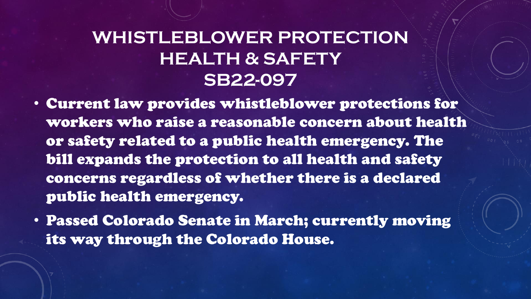#### **WHISTLEBLOWER PROTECTION HEALTH & SAFETY SB22-097**

- Current law provides whistleblower protections for workers who raise a reasonable concern about health or safety related to a public health emergency. The bill expands the protection to all health and safety concerns regardless of whether there is a declared public health emergency.
- Passed Colorado Senate in March; currently moving its way through the Colorado House.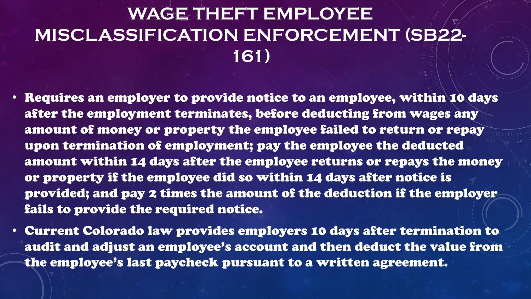### **WAGE THEFT EMPLOYEE MISCLASSIFICATION ENFORCEMENT (SB22- 161)**

- Requires an employer to provide notice to an employee, within 10 days after the employment terminates, before deducting from wages any amount of money or property the employee failed to return or repay upon termination of employment; pay the employee the deducted amount within 14 days after the employee returns or repays the money or property if the employee did so within 14 days after notice is provided; and pay 2 times the amount of the deduction if the employer fails to provide the required notice.
- Current Colorado law provides employers 10 days after termination to audit and adjust an employee's account and then deduct the value from the employee's last paycheck pursuant to a written agreement.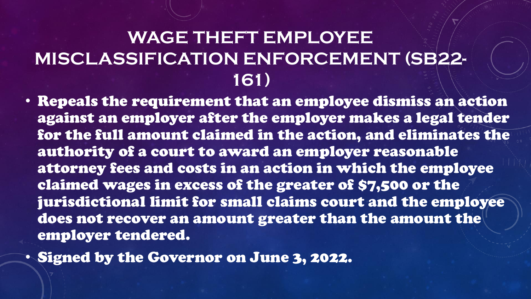### **WAGE THEFT EMPLOYEE MISCLASSIFICATION ENFORCEMENT (SB22- 161)**

- Repeals the requirement that an employee dismiss an action against an employer after the employer makes a legal tender for the full amount claimed in the action, and eliminates the authority of a court to award an employer reasonable attorney fees and costs in an action in which the employee claimed wages in excess of the greater of \$7,500 or the jurisdictional limit for small claims court and the employee does not recover an amount greater than the amount the employer tendered.
- Signed by the Governor on June 3, 2022.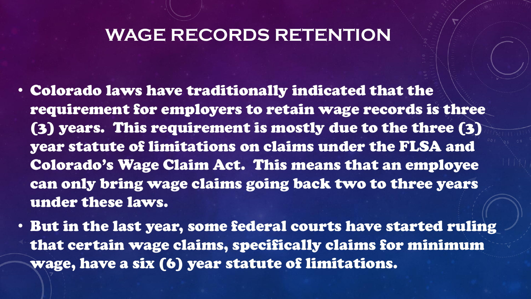#### **WAGE RECORDS RETENTION**

- Colorado laws have traditionally indicated that the requirement for employers to retain wage records is three (3) years. This requirement is mostly due to the three (3) year statute of limitations on claims under the FLSA and Colorado's Wage Claim Act. This means that an employee can only bring wage claims going back two to three years under these laws.
- But in the last year, some federal courts have started ruling that certain wage claims, specifically claims for minimum wage, have a six (6) year statute of limitations.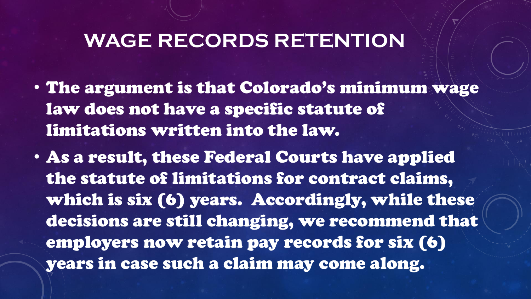#### **WAGE RECORDS RETENTION**

- The argument is that Colorado's minimum wage law does not have a specific statute of limitations written into the law.
- As a result, these Federal Courts have applied the statute of limitations for contract claims, which is six (6) years. Accordingly, while these decisions are still changing, we recommend that employers now retain pay records for six (6) years in case such a claim may come along.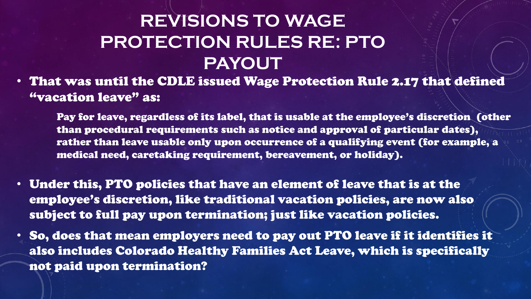### **REVISIONS TO WAGE PROTECTION RULES RE: PTO PAYOUT**

• That was until the CDLE issued Wage Protection Rule 2.17 that defined "vacation leave" as:

Pay for leave, regardless of its label, that is usable at the employee's discretion (other than procedural requirements such as notice and approval of particular dates), rather than leave usable only upon occurrence of a qualifying event (for example, a medical need, caretaking requirement, bereavement, or holiday).

- Under this, PTO policies that have an element of leave that is at the employee's discretion, like traditional vacation policies, are now also subject to full pay upon termination; just like vacation policies.
- So, does that mean employers need to pay out PTO leave if it identifies it also includes Colorado Healthy Families Act Leave, which is specifically not paid upon termination?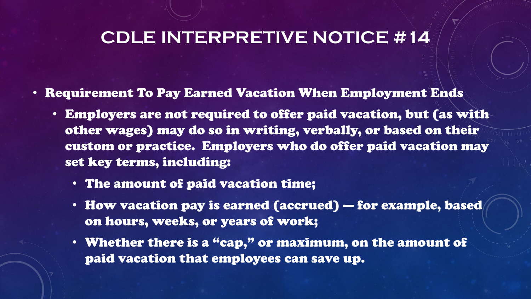- Requirement To Pay Earned Vacation When Employment Ends
	- Employers are not required to offer paid vacation, but (as with other wages) may do so in writing, verbally, or based on their custom or practice. Employers who do offer paid vacation may set key terms, including:
		- The amount of paid vacation time;
		- How vacation pay is earned (accrued) for example, based on hours, weeks, or years of work;
		- Whether there is a "cap," or maximum, on the amount of paid vacation that employees can save up.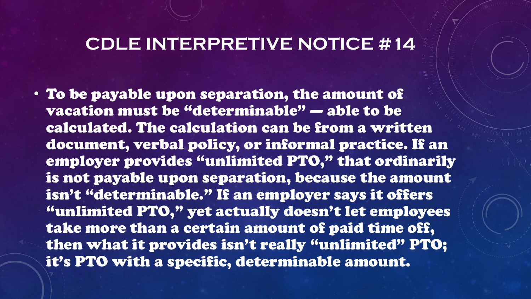• To be payable upon separation, the amount of vacation must be "determinable" — able to be calculated. The calculation can be from a written document, verbal policy, or informal practice. If an employer provides "unlimited PTO," that ordinarily is not payable upon separation, because the amount isn't "determinable." If an employer says it offers "unlimited PTO," yet actually doesn't let employees take more than a certain amount of paid time off, then what it provides isn't really "unlimited" PTO; it's PTO with a specific, determinable amount.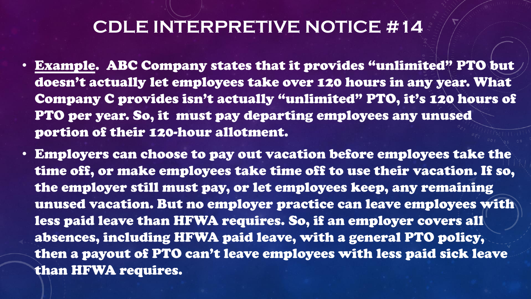- Example. ABC Company states that it provides "unlimited" PTO but doesn't actually let employees take over 120 hours in any year. What Company C provides isn't actually "unlimited" PTO, it's 120 hours of PTO per year. So, it must pay departing employees any unused portion of their 120-hour allotment.
- Employers can choose to pay out vacation before employees take the time off, or make employees take time off to use their vacation. If so, the employer still must pay, or let employees keep, any remaining unused vacation. But no employer practice can leave employees with less paid leave than HFWA requires. So, if an employer covers all absences, including HFWA paid leave, with a general PTO policy, then a payout of PTO can't leave employees with less paid sick leave than HFWA requires.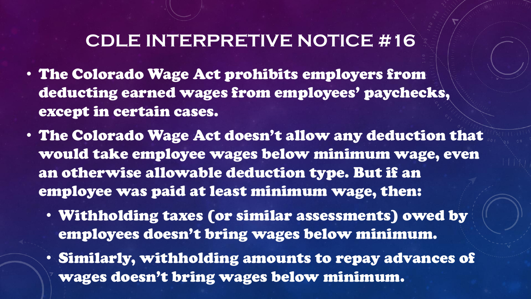- The Colorado Wage Act prohibits employers from deducting earned wages from employees' paychecks, except in certain cases.
- The Colorado Wage Act doesn't allow any deduction that would take employee wages below minimum wage, even an otherwise allowable deduction type. But if an employee was paid at least minimum wage, then:
	- Withholding taxes (or similar assessments) owed by employees doesn't bring wages below minimum.
	- Similarly, withholding amounts to repay advances of wages doesn't bring wages below minimum.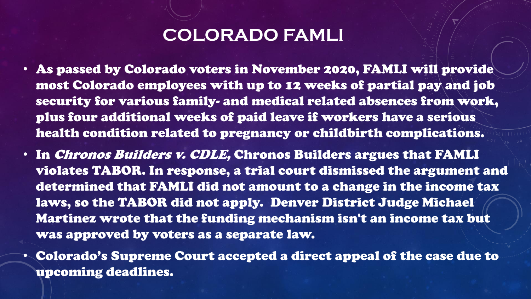#### **COLORADO FAMLI**

- As passed by Colorado voters in November 2020, FAMLI will provide most Colorado employees with up to 12 weeks of partial pay and job security for various family- and medical related absences from work, plus four additional weeks of paid leave if workers have a serious health condition related to pregnancy or childbirth complications.
- In Chronos Builders v. CDLE, Chronos Builders argues that FAMLI violates TABOR. In response, a trial court dismissed the argument and determined that FAMLI did not amount to a change in the income tax laws, so the TABOR did not apply. Denver District Judge Michael Martinez wrote that the funding mechanism isn't an income tax but was approved by voters as a separate law.
- Colorado's Supreme Court accepted a direct appeal of the case due to upcoming deadlines.